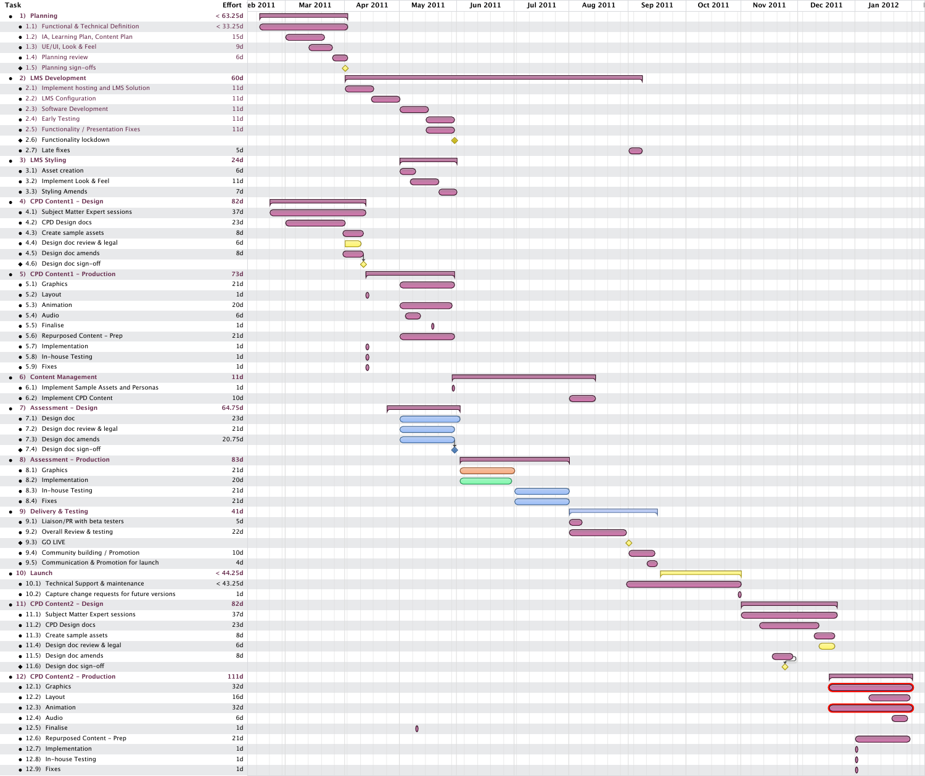| Task                                                | Effort $eb$ 2011 | Mar 2011   | Apr 2011          | May 2011         | <b>Jun 2011</b> | <b>Jul 2011</b> | Aug 2011   | Sep 2011   | <b>Oct 2011</b> | <b>Nov 2011</b> | <b>Dec 2011</b> | Jan 2012 |
|-----------------------------------------------------|------------------|------------|-------------------|------------------|-----------------|-----------------|------------|------------|-----------------|-----------------|-----------------|----------|
| • 1) Planning                                       | < 63.25d         |            |                   |                  |                 |                 |            |            |                 |                 |                 |          |
| • 1.1) Functional & Technical Definition            | < 33.25d         |            |                   |                  |                 |                 |            |            |                 |                 |                 |          |
| • 1.2) IA, Learning Plan, Content Plan              | 15d              |            |                   |                  |                 |                 |            |            |                 |                 |                 |          |
| $\bullet$ 1.3) UE/UI, Look & Feel                   | 9d               |            |                   |                  |                 |                 |            |            |                 |                 |                 |          |
| $\bullet$ 1.4) Planning review                      | 6d               | $\bigcirc$ |                   |                  |                 |                 |            |            |                 |                 |                 |          |
| $\triangle$ 1.5) Planning sign-offs                 |                  |            |                   |                  |                 |                 |            |            |                 |                 |                 |          |
| • 2) LMS Development                                | <b>60d</b>       |            |                   |                  |                 |                 |            |            |                 |                 |                 |          |
| • 2.1) Implement hosting and LMS Solution           | 11d              |            |                   |                  |                 |                 |            |            |                 |                 |                 |          |
| • 2.2) LMS Configuration                            | 11d              |            |                   |                  |                 |                 |            |            |                 |                 |                 |          |
| • 2.3) Software Development                         | 11d              |            |                   |                  |                 |                 |            |            |                 |                 |                 |          |
| • 2.4) Early Testing                                | 11d              |            |                   | <u>a shekara</u> |                 |                 |            |            |                 |                 |                 |          |
| • 2.5) Functionality / Presentation Fixes           | 11d              |            |                   |                  |                 |                 |            |            |                 |                 |                 |          |
| $\blacklozenge$ 2.6) Functionality lockdown         |                  |            |                   | $\blacklozenge$  |                 |                 |            |            |                 |                 |                 |          |
| $\bullet$ 2.7) Late fixes                           | 5d               |            |                   |                  |                 |                 |            | $\bigcirc$ |                 |                 |                 |          |
| • 3) LMS Styling                                    | 24d              |            |                   |                  |                 |                 |            |            |                 |                 |                 |          |
| • 3.1) Asset creation                               | 6d               |            |                   |                  |                 |                 |            |            |                 |                 |                 |          |
|                                                     |                  |            |                   |                  |                 |                 |            |            |                 |                 |                 |          |
| • 3.2) Implement Look & Feel                        | 11d              |            |                   |                  |                 |                 |            |            |                 |                 |                 |          |
| • 3.3) Styling Amends                               | 7d               |            |                   |                  |                 |                 |            |            |                 |                 |                 |          |
| • 4) CPD Content1 - Design                          | 82d              |            |                   |                  |                 |                 |            |            |                 |                 |                 |          |
| • 4.1) Subject Matter Expert sessions               | 37d              |            |                   |                  |                 |                 |            |            |                 |                 |                 |          |
| • 4.2) CPD Design docs                              | 23d              |            |                   |                  |                 |                 |            |            |                 |                 |                 |          |
| • 4.3) Create sample assets                         | 8d               |            |                   |                  |                 |                 |            |            |                 |                 |                 |          |
| • 4.4) Design doc review & legal                    | 6d               |            |                   |                  |                 |                 |            |            |                 |                 |                 |          |
| • 4.5) Design doc amends                            | 8d               |            |                   |                  |                 |                 |            |            |                 |                 |                 |          |
| $\triangleleft$ 4.6) Design doc sign-off            |                  |            | $\leftrightarrow$ |                  |                 |                 |            |            |                 |                 |                 |          |
| • 5) CPD Content1 - Production                      | 73d              |            |                   |                  |                 |                 |            |            |                 |                 |                 |          |
| • 5.1) Graphics                                     | 21d              |            |                   |                  |                 |                 |            |            |                 |                 |                 |          |
| $\bullet$ 5.2) Layout                               | 1 <sub>d</sub>   |            | $\bullet$         |                  |                 |                 |            |            |                 |                 |                 |          |
| • 5.3) Animation                                    | 20d              |            |                   |                  |                 |                 |            |            |                 |                 |                 |          |
| $\bullet$ 5.4) Audio                                | 6d               |            |                   | $\bigcirc$       |                 |                 |            |            |                 |                 |                 |          |
| • 5.5) Finalise                                     | 1 <sub>d</sub>   |            |                   |                  |                 |                 |            |            |                 |                 |                 |          |
| • 5.6) Repurposed Content - Prep                    | 21d              |            |                   |                  |                 |                 |            |            |                 |                 |                 |          |
|                                                     |                  |            |                   |                  |                 |                 |            |            |                 |                 |                 |          |
| • 5.7) Implementation                               | 1 <sub>d</sub>   |            | $\mathbf 0$       |                  |                 |                 |            |            |                 |                 |                 |          |
| • 5.8) In-house Testing                             | 1 <sub>d</sub>   |            | $\bullet$         |                  |                 |                 |            |            |                 |                 |                 |          |
| $\bullet$ 5.9) Fixes                                | 1 <sub>d</sub>   |            | $\bm{0}$          |                  |                 |                 |            |            |                 |                 |                 |          |
| • 6) Content Management                             | <b>11d</b>       |            |                   |                  |                 |                 |            |            |                 |                 |                 |          |
| • 6.1) Implement Sample Assets and Personas         | 1 <sub>d</sub>   |            |                   |                  |                 |                 |            |            |                 |                 |                 |          |
| • 6.2) Implement CPD Content                        | 10d              |            |                   |                  |                 |                 |            |            |                 |                 |                 |          |
| • 7) Assessment - Design                            | 64.75d           |            |                   |                  |                 |                 |            |            |                 |                 |                 |          |
| • 7.1) Design doc                                   | 23d              |            |                   |                  |                 |                 |            |            |                 |                 |                 |          |
| • 7.2) Design doc review & legal                    | 21d              |            |                   |                  |                 |                 |            |            |                 |                 |                 |          |
| • 7.3) Design doc amends                            | 20.75d           |            |                   |                  |                 |                 |            |            |                 |                 |                 |          |
| $\blacklozenge$ 7.4) Design doc sign-off            |                  |            |                   |                  |                 |                 |            |            |                 |                 |                 |          |
| • 8) Assessment - Production                        | 83d              |            |                   |                  |                 |                 |            |            |                 |                 |                 |          |
| • 8.1) Graphics                                     | 21d              |            |                   |                  |                 |                 |            |            |                 |                 |                 |          |
| • 8.2) Implementation                               | 20d              |            |                   |                  |                 |                 |            |            |                 |                 |                 |          |
| • 8.3) In-house Testing                             | 21d              |            |                   |                  |                 |                 |            |            |                 |                 |                 |          |
| $\bullet$ 8.4) Fixes                                | 21d              |            |                   |                  |                 |                 |            |            |                 |                 |                 |          |
| • 9) Delivery & Testing                             | 41d              |            |                   |                  |                 |                 |            |            |                 |                 |                 |          |
|                                                     |                  |            |                   |                  |                 |                 |            |            |                 |                 |                 |          |
| • 9.1) Liaison/PR with beta testers                 | 5d               |            |                   |                  |                 |                 | $\bigcirc$ |            |                 |                 |                 |          |
| • 9.2) Overall Review & testing                     | 22d              |            |                   |                  |                 |                 |            |            |                 |                 |                 |          |
| $\blacklozenge$ 9.3) GO LIVE                        |                  |            |                   |                  |                 |                 |            | ♦          |                 |                 |                 |          |
| • 9.4) Community building / Promotion               | 10d              |            |                   |                  |                 |                 |            |            |                 |                 |                 |          |
| • 9.5) Communication & Promotion for launch         | 4d               |            |                   |                  |                 |                 |            | $\bigcirc$ |                 |                 |                 |          |
| $\bullet$ 10) Launch                                | < 44.25d         |            |                   |                  |                 |                 |            |            |                 |                 |                 |          |
| • 10.1) Technical Support & maintenance             | < 43.25d         |            |                   |                  |                 |                 |            |            |                 |                 |                 |          |
| • 10.2) Capture change requests for future versions | 1 <sub>d</sub>   |            |                   |                  |                 |                 |            |            |                 |                 |                 |          |
| • 11) CPD Content2 - Design                         | 82d              |            |                   |                  |                 |                 |            |            |                 |                 |                 |          |
| • 11.1) Subject Matter Expert sessions              | 37d              |            |                   |                  |                 |                 |            |            |                 |                 |                 |          |
| • 11.2) CPD Design docs                             | 23d              |            |                   |                  |                 |                 |            |            |                 |                 |                 |          |
| • 11.3) Create sample assets                        | 8d               |            |                   |                  |                 |                 |            |            |                 |                 |                 |          |
| • 11.4) Design doc review & legal                   | 6d               |            |                   |                  |                 |                 |            |            |                 |                 |                 |          |
| • 11.5) Design doc amends                           | 8d               |            |                   |                  |                 |                 |            |            |                 |                 |                 |          |
| $\blacklozenge$ 11.6) Design doc sign-off           |                  |            |                   |                  |                 |                 |            |            |                 |                 |                 |          |
| • 12) CPD Content2 - Production                     | <b>111d</b>      |            |                   |                  |                 |                 |            |            |                 |                 |                 |          |
|                                                     |                  |            |                   |                  |                 |                 |            |            |                 |                 |                 |          |
| • 12.1) Graphics                                    | 32d              |            |                   |                  |                 |                 |            |            |                 |                 |                 |          |
| $\bullet$ 12.2) Layout                              | 16d              |            |                   |                  |                 |                 |            |            |                 |                 |                 |          |
| $\bullet$ 12.3) Animation                           | 32d              |            |                   |                  |                 |                 |            |            |                 |                 |                 |          |
| $\bullet$ 12.4) Audio                               | 6d               |            |                   |                  |                 |                 |            |            |                 |                 |                 |          |
| $\bullet$ 12.5) Finalise                            | 1 <sub>d</sub>   |            |                   |                  |                 |                 |            |            |                 |                 |                 |          |
| • 12.6) Repurposed Content - Prep                   | 21d              |            |                   |                  |                 |                 |            |            |                 |                 |                 |          |
| · 12.7) Implementation                              | 1 <sub>d</sub>   |            |                   |                  |                 |                 |            |            |                 |                 |                 |          |
| • 12.8) In-house Testing                            | 1 <sub>d</sub>   |            |                   |                  |                 |                 |            |            |                 |                 |                 |          |
| $\bullet$ 12.9) Fixes                               | 1 <sub>d</sub>   |            |                   |                  |                 |                 |            |            |                 |                 |                 |          |